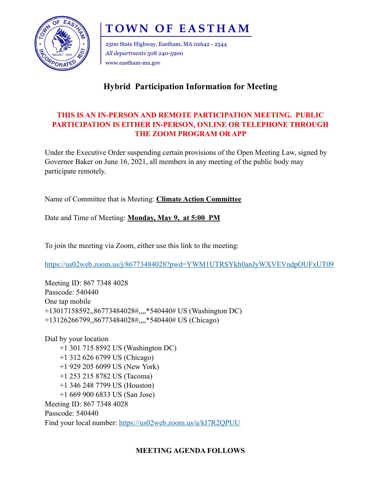

# **TOWN OF EASTHAM**

2500 State Highway, Eastham, MA 02642 - 2544 *All departments* 508 240-5900 www.eastham-ma.gov

# **Hybrid Participation Information for Meeting**

## **THIS IS AN IN-PERSON AND REMOTE PARTICIPATION MEETING. PUBLIC PARTICIPATION IS EITHER IN-PERSON, ONLINE OR TELEPHONE THROUGH THE ZOOM PROGRAM OR APP**

Under the Executive Order suspending certain provisions of the Open Meeting Law, signed by Governor Baker on June 16, 2021, all members in any meeting of the public body may participate remotely.

Name of Committee that is Meeting: **Climate Action Committee** 

Date and Time of Meeting: **Monday, May 9, at 5:00 PM**

To join the meeting via Zoom, either use this link to the meeting:

<https://us02web.zoom.us/j/86773484028?pwd=YWM1UTRSYkh0anJyWXVEVndpOUFxUT09>

Meeting ID: 867 7348 4028 Passcode: 540440 One tap mobile +13017158592,,86773484028#,,,,\*540440# US (Washington DC) +13126266799,,86773484028#,,,,\*540440# US (Chicago)

Dial by your location +1 301 715 8592 US (Washington DC) +1 312 626 6799 US (Chicago) +1 929 205 6099 US (New York) +1 253 215 8782 US (Tacoma) +1 346 248 7799 US (Houston) +1 669 900 6833 US (San Jose) Meeting ID: 867 7348 4028 Passcode: 540440 Find your local number:<https://us02web.zoom.us/u/kI7R2QPUU>

### **MEETING AGENDA FOLLOWS**